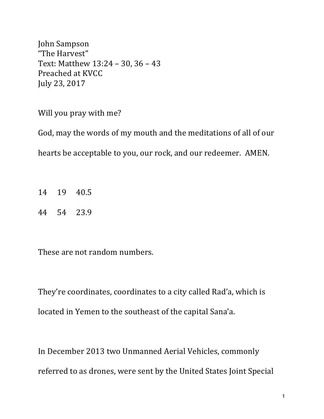John Sampson "The Harvest" Text: Matthew 13:24 - 30, 36 - 43 Preached at KVCC July 23, 2017

Will you pray with me?

God, may the words of my mouth and the meditations of all of our hearts be acceptable to you, our rock, and our redeemer. AMEN.

- 14 19 40.5
- 44 54 23.9

These are not random numbers.

They're coordinates, coordinates to a city called Rad'a, which is located in Yemen to the southeast of the capital Sana'a.

In December 2013 two Unmanned Aerial Vehicles, commonly referred to as drones, were sent by the United States Joint Special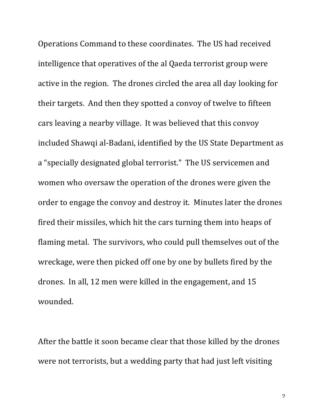Operations Command to these coordinates. The US had received intelligence that operatives of the al Qaeda terrorist group were active in the region. The drones circled the area all day looking for their targets. And then they spotted a convoy of twelve to fifteen cars leaving a nearby village. It was believed that this convoy included Shawqi al-Badani, identified by the US State Department as a "specially designated global terrorist." The US servicemen and women who oversaw the operation of the drones were given the order to engage the convoy and destroy it. Minutes later the drones fired their missiles, which hit the cars turning them into heaps of flaming metal. The survivors, who could pull themselves out of the wreckage, were then picked off one by one by bullets fired by the drones. In all, 12 men were killed in the engagement, and 15 wounded.

After the battle it soon became clear that those killed by the drones were not terrorists, but a wedding party that had just left visiting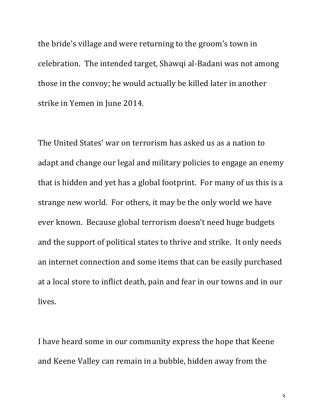the bride's village and were returning to the groom's town in celebration. The intended target, Shawqi al-Badani was not among those in the convoy; he would actually be killed later in another strike in Yemen in June 2014.

The United States' war on terrorism has asked us as a nation to adapt and change our legal and military policies to engage an enemy that is hidden and yet has a global footprint. For many of us this is a strange new world. For others, it may be the only world we have ever known. Because global terrorism doesn't need huge budgets and the support of political states to thrive and strike. It only needs an internet connection and some items that can be easily purchased at a local store to inflict death, pain and fear in our towns and in our lives.

I have heard some in our community express the hope that Keene and Keene Valley can remain in a bubble, hidden away from the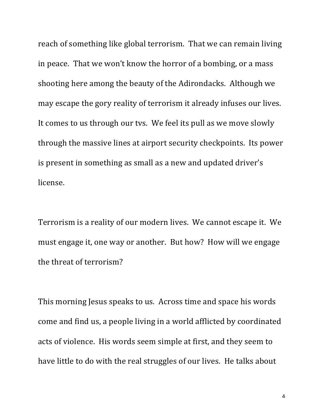reach of something like global terrorism. That we can remain living in peace. That we won't know the horror of a bombing, or a mass shooting here among the beauty of the Adirondacks. Although we may escape the gory reality of terrorism it already infuses our lives. It comes to us through our tvs. We feel its pull as we move slowly through the massive lines at airport security checkpoints. Its power is present in something as small as a new and updated driver's license.

Terrorism is a reality of our modern lives. We cannot escape it. We must engage it, one way or another. But how? How will we engage the threat of terrorism?

This morning Jesus speaks to us. Across time and space his words come and find us, a people living in a world afflicted by coordinated acts of violence. His words seem simple at first, and they seem to have little to do with the real struggles of our lives. He talks about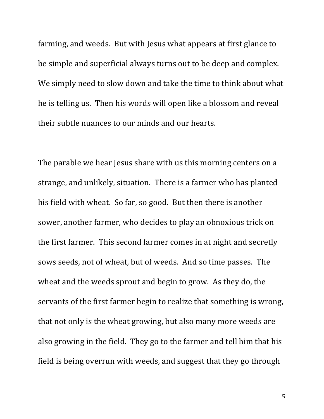farming, and weeds. But with Jesus what appears at first glance to be simple and superficial always turns out to be deep and complex. We simply need to slow down and take the time to think about what he is telling us. Then his words will open like a blossom and reveal their subtle nuances to our minds and our hearts.

The parable we hear Jesus share with us this morning centers on a strange, and unlikely, situation. There is a farmer who has planted his field with wheat. So far, so good. But then there is another sower, another farmer, who decides to play an obnoxious trick on the first farmer. This second farmer comes in at night and secretly sows seeds, not of wheat, but of weeds. And so time passes. The wheat and the weeds sprout and begin to grow. As they do, the servants of the first farmer begin to realize that something is wrong, that not only is the wheat growing, but also many more weeds are also growing in the field. They go to the farmer and tell him that his field is being overrun with weeds, and suggest that they go through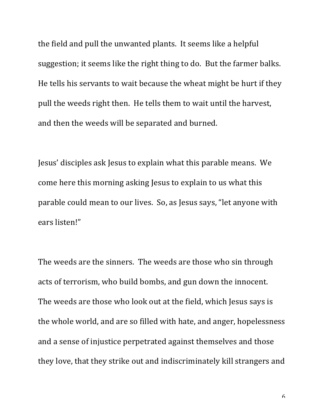the field and pull the unwanted plants. It seems like a helpful suggestion; it seems like the right thing to do. But the farmer balks. He tells his servants to wait because the wheat might be hurt if they pull the weeds right then. He tells them to wait until the harvest, and then the weeds will be separated and burned.

Jesus' disciples ask Jesus to explain what this parable means. We come here this morning asking Jesus to explain to us what this parable could mean to our lives. So, as Jesus says, "let anyone with ears listen!"

The weeds are the sinners. The weeds are those who sin through acts of terrorism, who build bombs, and gun down the innocent. The weeds are those who look out at the field, which Jesus says is the whole world, and are so filled with hate, and anger, hopelessness and a sense of injustice perpetrated against themselves and those they love, that they strike out and indiscriminately kill strangers and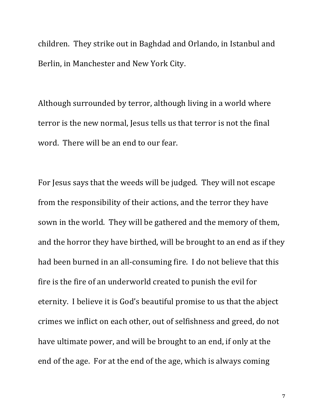children. They strike out in Baghdad and Orlando, in Istanbul and Berlin, in Manchester and New York City.

Although surrounded by terror, although living in a world where terror is the new normal, Jesus tells us that terror is not the final word. There will be an end to our fear.

For Jesus says that the weeds will be judged. They will not escape from the responsibility of their actions, and the terror they have sown in the world. They will be gathered and the memory of them, and the horror they have birthed, will be brought to an end as if they had been burned in an all-consuming fire. I do not believe that this fire is the fire of an underworld created to punish the evil for eternity. I believe it is God's beautiful promise to us that the abject crimes we inflict on each other, out of selfishness and greed, do not have ultimate power, and will be brought to an end, if only at the end of the age. For at the end of the age, which is always coming

7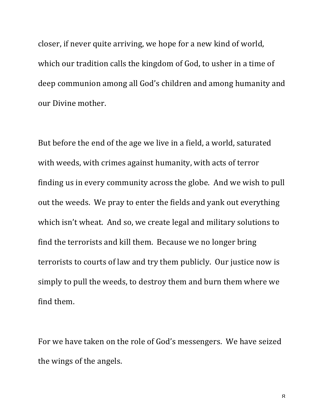closer, if never quite arriving, we hope for a new kind of world, which our tradition calls the kingdom of God, to usher in a time of deep communion among all God's children and among humanity and our Divine mother.

But before the end of the age we live in a field, a world, saturated with weeds, with crimes against humanity, with acts of terror finding us in every community across the globe. And we wish to pull out the weeds. We pray to enter the fields and yank out everything which isn't wheat. And so, we create legal and military solutions to find the terrorists and kill them. Because we no longer bring terrorists to courts of law and try them publicly. Our justice now is simply to pull the weeds, to destroy them and burn them where we find them.

For we have taken on the role of God's messengers. We have seized the wings of the angels.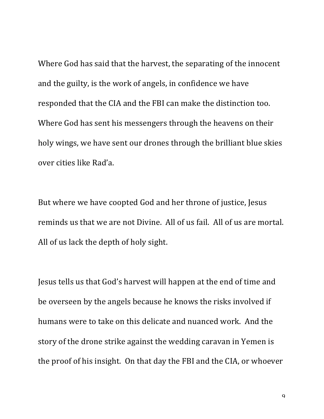Where God has said that the harvest, the separating of the innocent and the guilty, is the work of angels, in confidence we have responded that the CIA and the FBI can make the distinction too. Where God has sent his messengers through the heavens on their holy wings, we have sent our drones through the brilliant blue skies over cities like Rad'a.

But where we have coopted God and her throne of justice, Jesus reminds us that we are not Divine. All of us fail. All of us are mortal. All of us lack the depth of holy sight.

Jesus tells us that God's harvest will happen at the end of time and be overseen by the angels because he knows the risks involved if humans were to take on this delicate and nuanced work. And the story of the drone strike against the wedding caravan in Yemen is the proof of his insight. On that day the FBI and the CIA, or whoever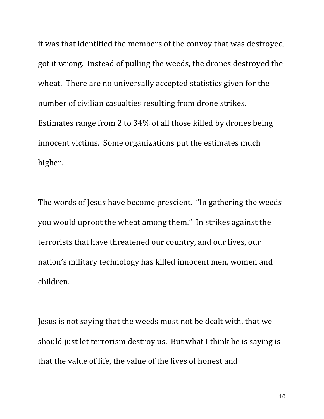it was that identified the members of the convoy that was destroyed, got it wrong. Instead of pulling the weeds, the drones destroyed the wheat. There are no universally accepted statistics given for the number of civilian casualties resulting from drone strikes. Estimates range from 2 to 34% of all those killed by drones being innocent victims. Some organizations put the estimates much higher. 

The words of Jesus have become prescient. "In gathering the weeds you would uproot the wheat among them." In strikes against the terrorists that have threatened our country, and our lives, our nation's military technology has killed innocent men, women and children.

Jesus is not saying that the weeds must not be dealt with, that we should just let terrorism destroy us. But what I think he is saying is that the value of life, the value of the lives of honest and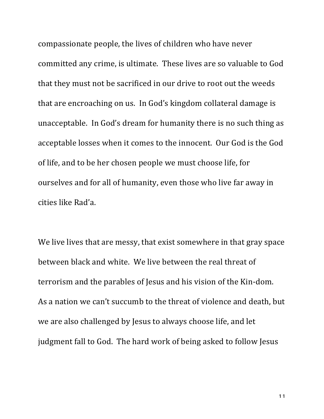compassionate people, the lives of children who have never committed any crime, is ultimate. These lives are so valuable to God that they must not be sacrificed in our drive to root out the weeds that are encroaching on us. In God's kingdom collateral damage is unacceptable. In God's dream for humanity there is no such thing as acceptable losses when it comes to the innocent. Our God is the God of life, and to be her chosen people we must choose life, for ourselves and for all of humanity, even those who live far away in cities like Rad'a.

We live lives that are messy, that exist somewhere in that gray space between black and white. We live between the real threat of terrorism and the parables of Jesus and his vision of the Kin-dom. As a nation we can't succumb to the threat of violence and death, but we are also challenged by Jesus to always choose life, and let judgment fall to God. The hard work of being asked to follow Jesus

11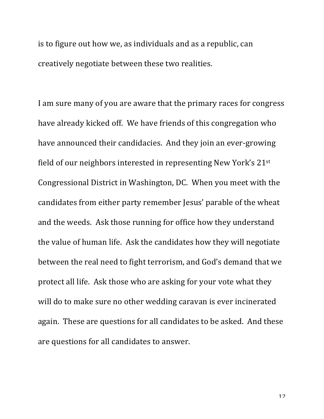is to figure out how we, as individuals and as a republic, can creatively negotiate between these two realities.

I am sure many of you are aware that the primary races for congress have already kicked off. We have friends of this congregation who have announced their candidacies. And they join an ever-growing field of our neighbors interested in representing New York's  $21^{st}$ Congressional District in Washington, DC. When you meet with the candidates from either party remember Jesus' parable of the wheat and the weeds. Ask those running for office how they understand the value of human life. Ask the candidates how they will negotiate between the real need to fight terrorism, and God's demand that we protect all life. Ask those who are asking for your vote what they will do to make sure no other wedding caravan is ever incinerated again. These are questions for all candidates to be asked. And these are questions for all candidates to answer.

12